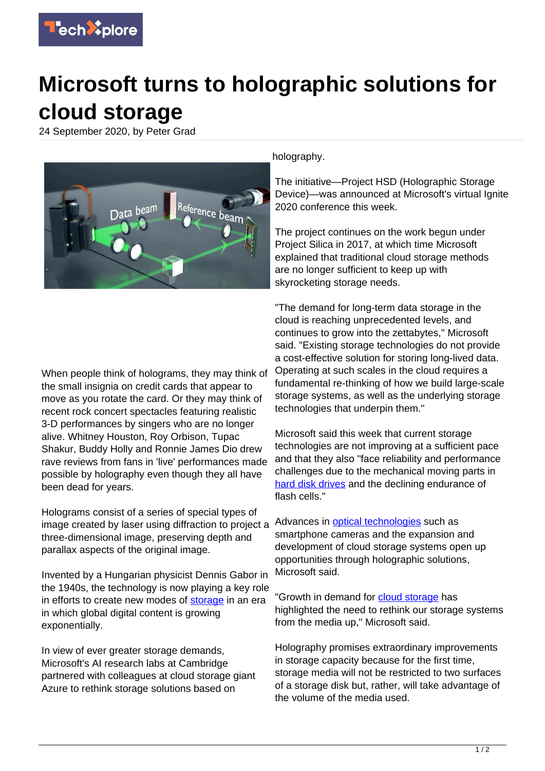

## **Microsoft turns to holographic solutions for cloud storage**

24 September 2020, by Peter Grad



When people think of holograms, they may think of the small insignia on credit cards that appear to move as you rotate the card. Or they may think of recent rock concert spectacles featuring realistic 3-D performances by singers who are no longer alive. Whitney Houston, Roy Orbison, Tupac Shakur, Buddy Holly and Ronnie James Dio drew rave reviews from fans in 'live' performances made possible by holography even though they all have been dead for years.

Holograms consist of a series of special types of image created by laser using diffraction to project a three-dimensional image, preserving depth and parallax aspects of the original image.

Invented by a Hungarian physicist Dennis Gabor in the 1940s, the technology is now playing a key role in efforts to create new modes of [storage](https://techxplore.com/tags/storage/) in an era in which global digital content is growing exponentially.

In view of ever greater storage demands, Microsoft's AI research labs at Cambridge partnered with colleagues at cloud storage giant Azure to rethink storage solutions based on

holography.

The initiative—Project HSD (Holographic Storage Device)—was announced at Microsoft's virtual Ignite 2020 conference this week.

The project continues on the work begun under Project Silica in 2017, at which time Microsoft explained that traditional cloud storage methods are no longer sufficient to keep up with skyrocketing storage needs.

"The demand for long-term data storage in the cloud is reaching unprecedented levels, and continues to grow into the zettabytes," Microsoft said. "Existing storage technologies do not provide a cost-effective solution for storing long-lived data. Operating at such scales in the cloud requires a fundamental re-thinking of how we build large-scale storage systems, as well as the underlying storage technologies that underpin them."

Microsoft said this week that current storage technologies are not improving at a sufficient pace and that they also "face reliability and performance challenges due to the mechanical moving parts in [hard disk drives](https://techxplore.com/tags/hard+disk+drives/) and the declining endurance of flash cells."

Advances in [optical technologies](https://techxplore.com/tags/optical+technologies/) such as smartphone cameras and the expansion and development of cloud storage systems open up opportunities through holographic solutions, Microsoft said.

"Growth in demand for [cloud storage](https://techxplore.com/tags/cloud+storage/) has highlighted the need to rethink our storage systems from the media up," Microsoft said.

Holography promises extraordinary improvements in storage capacity because for the first time, storage media will not be restricted to two surfaces of a storage disk but, rather, will take advantage of the volume of the media used.